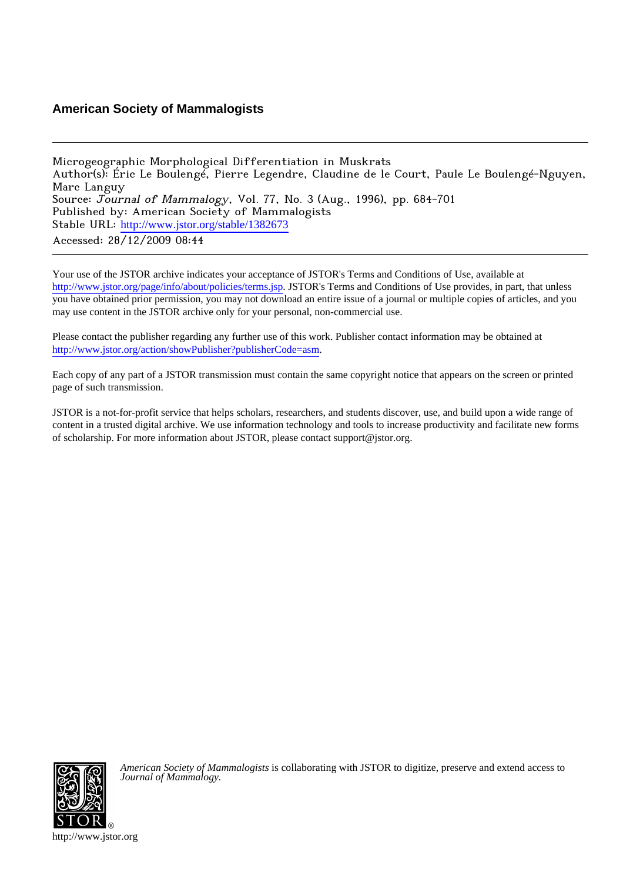# **American Society of Mammalogists**

Microgeographic Morphological Differentiation in Muskrats Author(s): Éric Le Boulengé, Pierre Legendre, Claudine de le Court, Paule Le Boulengé-Nguyen, Marc Languy Source: Journal of Mammalogy, Vol. 77, No. 3 (Aug., 1996), pp. 684-701 Published by: American Society of Mammalogists Stable URL: [http://www.jstor.org/stable/1382673](http://www.jstor.org/stable/1382673?origin=JSTOR-pdf) Accessed: 28/12/2009 08:44

Your use of the JSTOR archive indicates your acceptance of JSTOR's Terms and Conditions of Use, available at <http://www.jstor.org/page/info/about/policies/terms.jsp>. JSTOR's Terms and Conditions of Use provides, in part, that unless you have obtained prior permission, you may not download an entire issue of a journal or multiple copies of articles, and you may use content in the JSTOR archive only for your personal, non-commercial use.

Please contact the publisher regarding any further use of this work. Publisher contact information may be obtained at <http://www.jstor.org/action/showPublisher?publisherCode=asm>.

Each copy of any part of a JSTOR transmission must contain the same copyright notice that appears on the screen or printed page of such transmission.

JSTOR is a not-for-profit service that helps scholars, researchers, and students discover, use, and build upon a wide range of content in a trusted digital archive. We use information technology and tools to increase productivity and facilitate new forms of scholarship. For more information about JSTOR, please contact support@jstor.org.



*American Society of Mammalogists* is collaborating with JSTOR to digitize, preserve and extend access to *Journal of Mammalogy.*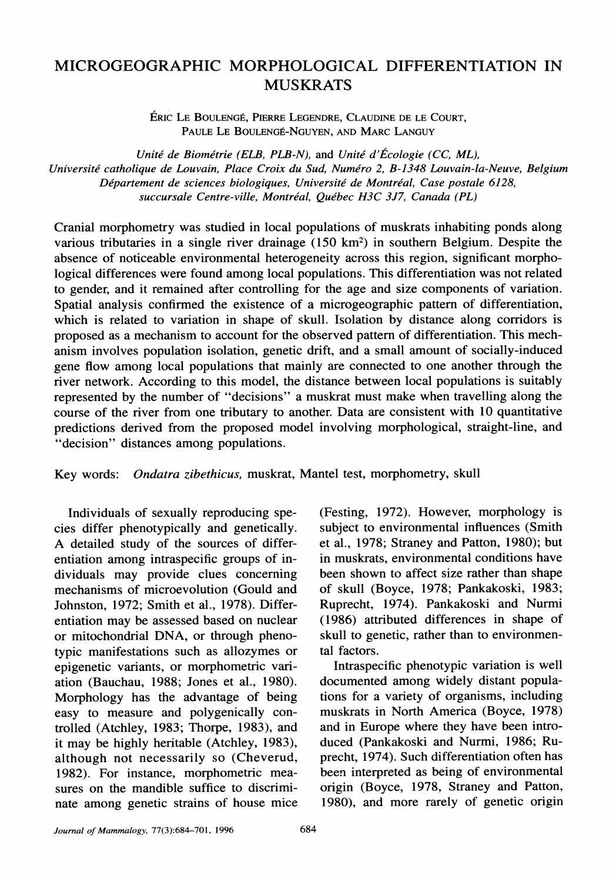# **MICROGEOGRAPHIC MORPHOLOGICAL DIFFERENTIATION IN MUSKRATS**

**ERIC LE BOULENG9, PIERRE LEGENDRE, CLAUDINE DE LE COURT,**  PAULE LE BOULENGÉ-NGUYEN, AND MARC LANGUY

Unité de Biométrie (ELB, PLB-N), and Unité d'Écologie (CC, ML), **Universite catholique de Louvain, Place Croix du Sud, Numero 2, B-1348 Louvain-la-Neuve, Belgium**  Département de sciences biologiques, Université de Montréal, Case postale 6128, succursale Centre-ville, Montréal, Québec H3C 3J7, Canada (PL)

**Cranial morphometry was studied in local populations of muskrats inhabiting ponds along various tributaries in a single river drainage (150 km2) in southern Belgium. Despite the absence of noticeable environmental heterogeneity across this region, significant morphological differences were found among local populations. This differentiation was not related to gender, and it remained after controlling for the age and size components of variation. Spatial analysis confirmed the existence of a microgeographic pattern of differentiation,**  which is related to variation in shape of skull. Isolation by distance along corridors is **proposed as a mechanism to account for the observed pattern of differentiation. This mechanism involves population isolation, genetic drift, and a small amount of socially-induced gene flow among local populations that mainly are connected to one another through the river network. According to this model, the distance between local populations is suitably represented by the number of "decisions" a muskrat must make when travelling along the course of the river from one tributary to another. Data are consistent with 10 quantitative predictions derived from the proposed model involving morphological, straight-line, and "decision" distances among populations.** 

**Key words: Ondatra zibethicus, muskrat, Mantel test, morphometry, skull** 

**Individuals of sexually reproducing species differ phenotypically and genetically. A detailed study of the sources of differentiation among intraspecific groups of individuals may provide clues concerning mechanisms of microevolution (Gould and Johnston, 1972; Smith et al., 1978). Differentiation may be assessed based on nuclear or mitochondrial DNA, or through phenotypic manifestations such as allozymes or epigenetic variants, or morphometric variation (Bauchau, 1988; Jones et al., 1980). Morphology has the advantage of being easy to measure and polygenically controlled (Atchley, 1983; Thorpe, 1983), and it may be highly heritable (Atchley, 1983), although not necessarily so (Cheverud, 1982). For instance, morphometric measures on the mandible suffice to discriminate among genetic strains of house mice**  **(Festing, 1972). However, morphology is subject to environmental influences (Smith et al., 1978; Straney and Patton, 1980); but in muskrats, environmental conditions have been shown to affect size rather than shape of skull (Boyce, 1978; Pankakoski, 1983; Ruprecht, 1974). Pankakoski and Nurmi (1986) attributed differences in shape of skull to genetic, rather than to environmental factors.** 

**Intraspecific phenotypic variation is well documented among widely distant populations for a variety of organisms, including muskrats in North America (Boyce, 1978) and in Europe where they have been introduced (Pankakoski and Nurmi, 1986; Ruprecht, 1974). Such differentiation often has been interpreted as being of environmental origin (Boyce, 1978, Straney and Patton, 1980), and more rarely of genetic origin**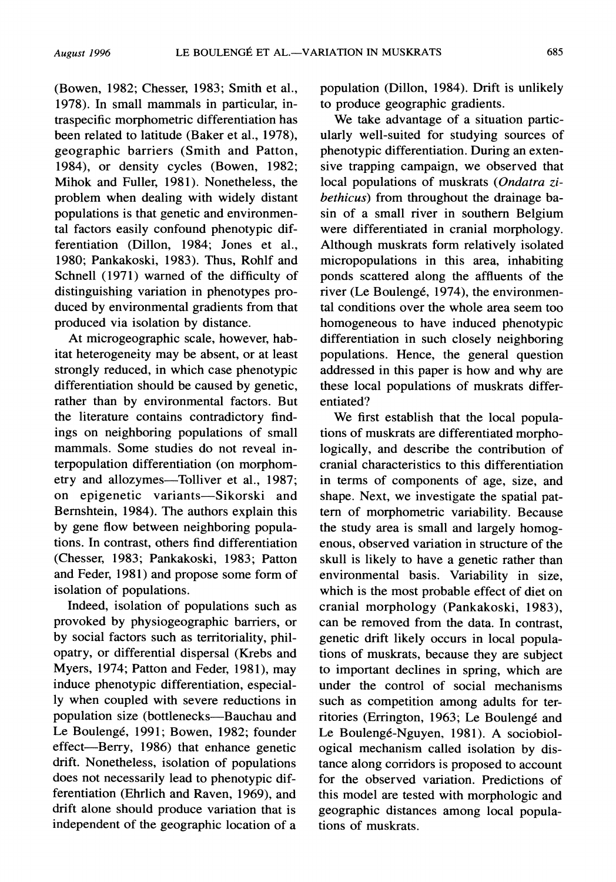**(Bowen, 1982; Chesser, 1983; Smith et al., 1978). In small mammals in particular, intraspecific morphometric differentiation has been related to latitude (Baker et al., 1978), geographic barriers (Smith and Patton, 1984), or density cycles (Bowen, 1982; Mihok and Fuller, 1981). Nonetheless, the problem when dealing with widely distant populations is that genetic and environmental factors easily confound phenotypic differentiation (Dillon, 1984; Jones et al., 1980; Pankakoski, 1983). Thus, Rohlf and Schnell (1971) warned of the difficulty of distinguishing variation in phenotypes produced by environmental gradients from that produced via isolation by distance.** 

**At microgeographic scale, however, habitat heterogeneity may be absent, or at least strongly reduced, in which case phenotypic differentiation should be caused by genetic, rather than by environmental factors. But the literature contains contradictory findings on neighboring populations of small mammals. Some studies do not reveal interpopulation differentiation (on morphom**etry and allozymes-Tolliver et al., 1987; **on epigenetic variants-Sikorski and Bernshtein, 1984). The authors explain this by gene flow between neighboring populations. In contrast, others find differentiation (Chesser, 1983; Pankakoski, 1983; Patton and Feder, 1981) and propose some form of isolation of populations.** 

**Indeed, isolation of populations such as provoked by physiogeographic barriers, or by social factors such as territoriality, philopatry, or differential dispersal (Krebs and Myers, 1974; Patton and Feder, 1981), may induce phenotypic differentiation, especially when coupled with severe reductions in population size (bottlenecks-Bauchau and Le Bouleng6, 1991; Bowen, 1982; founder effect-Berry, 1986) that enhance genetic drift. Nonetheless, isolation of populations does not necessarily lead to phenotypic differentiation (Ehrlich and Raven, 1969), and drift alone should produce variation that is independent of the geographic location of a**  **population (Dillon, 1984). Drift is unlikely to produce geographic gradients.** 

**We take advantage of a situation particularly well-suited for studying sources of phenotypic differentiation. During an extensive trapping campaign, we observed that local populations of muskrats (Ondatra zibethicus) from throughout the drainage basin of a small river in southern Belgium were differentiated in cranial morphology. Although muskrats form relatively isolated micropopulations in this area, inhabiting ponds scattered along the affluents of the river (Le Bouleng6, 1974), the environmental conditions over the whole area seem too homogeneous to have induced phenotypic differentiation in such closely neighboring populations. Hence, the general question addressed in this paper is how and why are these local populations of muskrats differentiated?** 

**We first establish that the local populations of muskrats are differentiated morphologically, and describe the contribution of cranial characteristics to this differentiation in terms of components of age, size, and shape. Next, we investigate the spatial pattern of morphometric variability. Because the study area is small and largely homogenous, observed variation in structure of the skull is likely to have a genetic rather than environmental basis. Variability in size, which is the most probable effect of diet on cranial morphology (Pankakoski, 1983), can be removed from the data. In contrast, genetic drift likely occurs in local populations of muskrats, because they are subject to important declines in spring, which are under the control of social mechanisms such as competition among adults for territories (Errington, 1963; Le Bouleng6 and Le Bouleng6-Nguyen, 1981). A sociobiological mechanism called isolation by distance along corridors is proposed to account for the observed variation. Predictions of this model are tested with morphologic and geographic distances among local populations of muskrats.**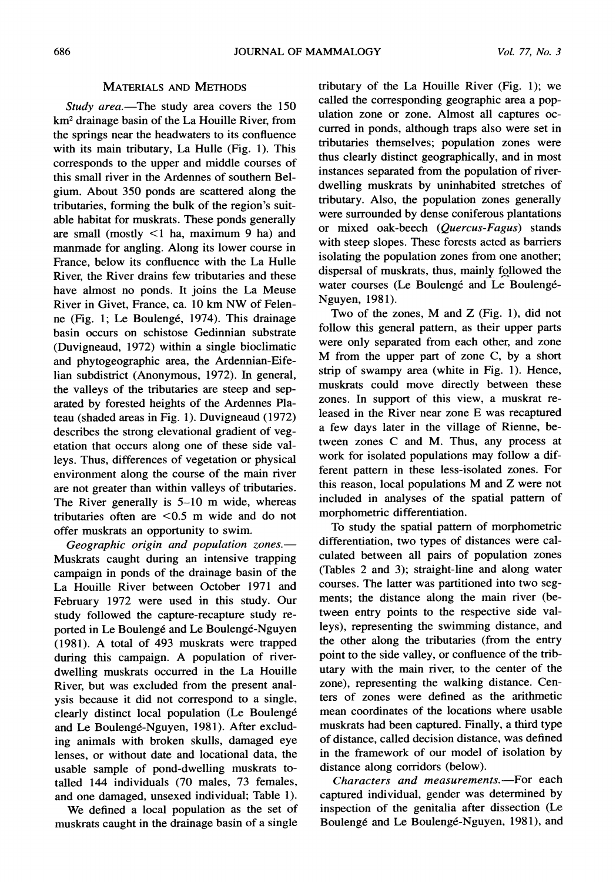### **MATERIALS AND METHODS**

Study area.—The study area covers the 150 **km2 drainage basin of the La Houille River, from the springs near the headwaters to its confluence with its main tributary, La Hulle (Fig. 1). This corresponds to the upper and middle courses of this small river in the Ardennes of southern Belgium. About 350 ponds are scattered along the tributaries, forming the bulk of the region's suitable habitat for muskrats. These ponds generally are small (mostly <1 ha, maximum 9 ha) and manmade for angling. Along its lower course in France, below its confluence with the La Hulle River, the River drains few tributaries and these have almost no ponds. It joins the La Meuse River in Givet, France, ca. 10 km NW of Felenne (Fig. 1; Le Bouleng6, 1974). This drainage basin occurs on schistose Gedinnian substrate (Duvigneaud, 1972) within a single bioclimatic and phytogeographic area, the Ardennian-Eifelian subdistrict (Anonymous, 1972). In general, the valleys of the tributaries are steep and separated by forested heights of the Ardennes Plateau (shaded areas in Fig. 1). Duvigneaud (1972) describes the strong elevational gradient of vegetation that occurs along one of these side valleys. Thus, differences of vegetation or physical environment along the course of the main river are not greater than within valleys of tributaries. The River generally is 5-10 m wide, whereas tributaries often are <0.5 m wide and do not offer muskrats an opportunity to swim.** 

Geographic origin and population zones.-**Muskrats caught during an intensive trapping campaign in ponds of the drainage basin of the La Houille River between October 1971 and February 1972 were used in this study. Our study followed the capture-recapture study reported in Le Bouleng6 and Le Bouleng&-Nguyen (1981). A total of 493 muskrats were trapped during this campaign. A population of riverdwelling muskrats occurred in the La Houille River, but was excluded from the present analysis because it did not correspond to a single, clearly distinct local population (Le Bouleng6 and Le Bouleng6-Nguyen, 1981). After excluding animals with broken skulls, damaged eye lenses, or without date and locational data, the usable sample of pond-dwelling muskrats totalled 144 individuals (70 males, 73 females, and one damaged, unsexed individual; Table 1).** 

**We defined a local population as the set of muskrats caught in the drainage basin of a single** 

**tributary of the La Houille River (Fig. 1); we called the corresponding geographic area a population zone or zone. Almost all captures occurred in ponds, although traps also were set in tributaries themselves; population zones were thus clearly distinct geographically, and in most instances separated from the population of riverdwelling muskrats by uninhabited stretches of tributary. Also, the population zones generally were surrounded by dense coniferous plantations or mixed oak-beech (Quercus-Fagus) stands with steep slopes. These forests acted as barriers isolating the population zones from one another; dispersal of muskrats, thus, mainly followed the water courses (Le Bouleng6 and Le Bouleng&- Nguyen, 1981).** 

**Two of the zones, M and Z (Fig. 1), did not follow this general pattern, as their upper parts were only separated from each other, and zone M from the upper part of zone C, by a short strip of swampy area (white in Fig. 1). Hence, muskrats could move directly between these zones. In support of this view, a muskrat released in the River near zone E was recaptured a few days later in the village of Rienne, between zones C and M. Thus, any process at work for isolated populations may follow a different pattern in these less-isolated zones. For this reason, local populations M and Z were not included in analyses of the spatial pattern of morphometric differentiation.** 

**To study the spatial pattern of morphometric differentiation, two types of distances were calculated between all pairs of population zones (Tables 2 and 3); straight-line and along water courses. The latter was partitioned into two segments; the distance along the main river (between entry points to the respective side valleys), representing the swimming distance, and the other along the tributaries (from the entry point to the side valley, or confluence of the tributary with the main river, to the center of the zone), representing the walking distance. Centers of zones were defined as the arithmetic mean coordinates of the locations where usable muskrats had been captured. Finally, a third type of distance, called decision distance, was defined in the framework of our model of isolation by distance along corridors (below).** 

Characters and measurements.-For each **captured individual, gender was determined by inspection of the genitalia after dissection (Le Bouleng6 and Le Bouleng&-Nguyen, 1981), and**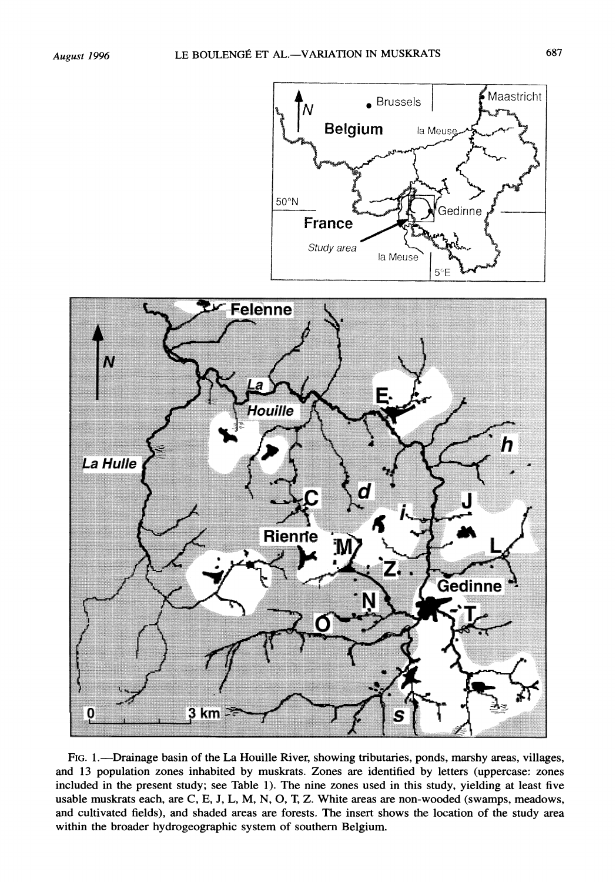

**FIG. 1.--Drainage basin of the La Houille River, showing tributaries, ponds, marshy areas, villages, and 13 population zones inhabited by muskrats. Zones are identified by letters (uppercase: zones included in the present study; see Table 1). The nine zones used in this study, yielding at least five usable muskrats each, are C, E, J, L, M, N, O, T, Z. White areas are non-wooded (swamps, meadows, and cultivated fields), and shaded areas are forests. The insert shows the location of the study area within the broader hydrogeographic system of southern Belgium.**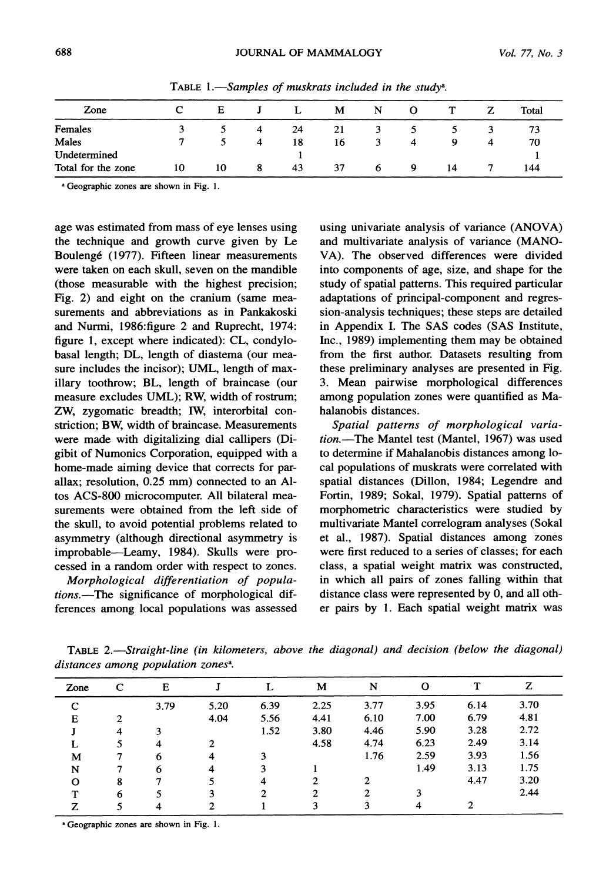| Zone               | U  | Е  |   | ∸  | м  | N  |   |    | Total |
|--------------------|----|----|---|----|----|----|---|----|-------|
| Females            |    |    | 4 | 24 | 21 | 3. |   |    | 73    |
| Males              |    |    | 4 | 18 | 16 | 3  |   |    | 70    |
| Undetermined       |    |    |   |    |    |    |   |    |       |
| Total for the zone | 10 | 10 | 8 | 43 | 37 | n. | ۰ | 14 | 144   |

TABLE 1.—Samples of muskrats included in the study<sup>a</sup>.

**<sup>a</sup>Geographic zones are shown in Fig. 1.** 

**age was estimated from mass of eye lenses using the technique and growth curve given by Le Bouleng6 (1977). Fifteen linear measurements were taken on each skull, seven on the mandible (those measurable with the highest precision; Fig. 2) and eight on the cranium (same measurements and abbreviations as in Pankakoski and Nurmi, 1986:figure 2 and Ruprecht, 1974: figure 1, except where indicated): CL, condylobasal length; DL, length of diastema (our measure includes the incisor); UML, length of maxillary toothrow; BL, length of braincase (our measure excludes UML); RW, width of rostrum; ZW, zygomatic breadth; IW, interorbital constriction; BW, width of braincase. Measurements were made with digitalizing dial callipers (Digibit of Numonics Corporation, equipped with a home-made aiming device that corrects for parallax; resolution, 0.25 mm) connected to an Altos ACS-800 microcomputer. All bilateral measurements were obtained from the left side of the skull, to avoid potential problems related to asymmetry (although directional asymmetry is improbable-Leamy, 1984). Skulls were processed in a random order with respect to zones.** 

**Morphological differentiation of populations.-The significance of morphological differences among local populations was assessed** 

**using univariate analysis of variance (ANOVA) and multivariate analysis of variance (MANO-VA). The observed differences were divided into components of age, size, and shape for the study of spatial patterns. This required particular adaptations of principal-component and regression-analysis techniques; these steps are detailed in Appendix I. The SAS codes (SAS Institute, Inc., 1989) implementing them may be obtained from the first author. Datasets resulting from these preliminary analyses are presented in Fig. 3. Mean pairwise morphological differences among population zones were quantified as Mahalanobis distances.** 

**Spatial patterns of morphological variation.-The Mantel test (Mantel, 1967) was used to determine if Mahalanobis distances among local populations of muskrats were correlated with spatial distances (Dillon, 1984; Legendre and Fortin, 1989; Sokal, 1979). Spatial patterns of morphometric characteristics were studied by multivariate Mantel correlogram analyses (Sokal et al., 1987). Spatial distances among zones were first reduced to a series of classes; for each class, a spatial weight matrix was constructed, in which all pairs of zones falling within that distance class were represented by 0, and all other pairs by 1. Each spatial weight matrix was** 

TABLE 2.—Straight-line (in kilometers, above the diagonal) and decision (below the diagonal) **distances among population zonesa.** 

| Zone |   | Е    |      |               | M    | N              | О    | т    | z    |
|------|---|------|------|---------------|------|----------------|------|------|------|
| C    |   | 3.79 | 5.20 | 6.39          | 2.25 | 3.77           | 3.95 | 6.14 | 3.70 |
| Е    | 2 |      | 4.04 | 5.56          | 4.41 | 6.10           | 7.00 | 6.79 | 4.81 |
|      | 4 | 3    |      | 1.52          | 3.80 | 4.46           | 5.90 | 3.28 | 2.72 |
|      | 5 | A    | 2    |               | 4.58 | 4.74           | 6.23 | 2.49 | 3.14 |
| M    |   | 6    |      | 3             |      | 1.76           | 2.59 | 3.93 | 1.56 |
| N    |   | 6    | 4    |               |      |                | 1.49 | 3.13 | 1.75 |
| О    | 8 |      |      | 4             | 2    | 2              |      | 4.47 | 3.20 |
| T    | 6 |      | ٦    | $\mathcal{D}$ | 2    | $\overline{2}$ |      |      | 2.44 |
| z    |   |      | 2    |               |      | ٩              |      |      |      |

**SGeographic zones are shown in Fig. 1.**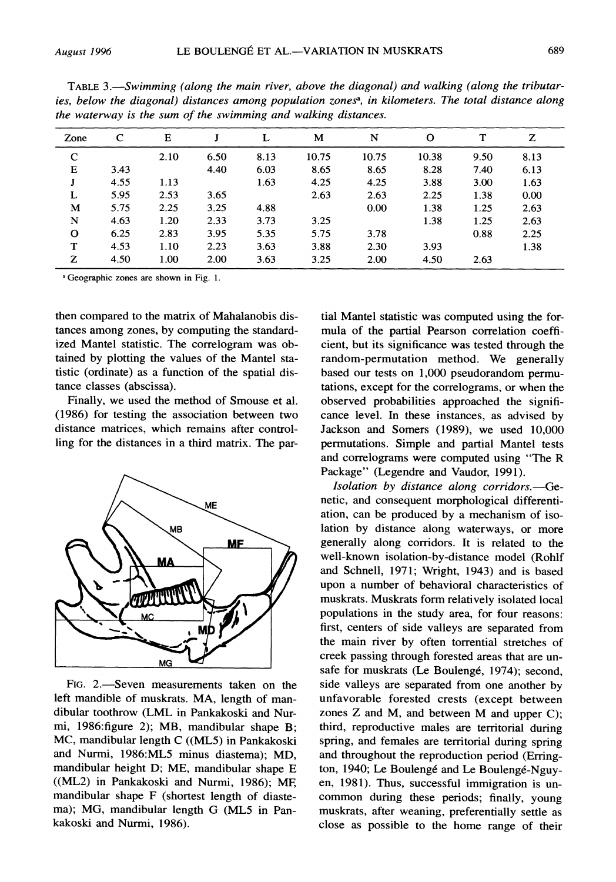| Zone | C    | Е    |      |      | M     | N     | О     | т    | z    |
|------|------|------|------|------|-------|-------|-------|------|------|
| C    |      | 2.10 | 6.50 | 8.13 | 10.75 | 10.75 | 10.38 | 9.50 | 8.13 |
| Е    | 3.43 |      | 4.40 | 6.03 | 8.65  | 8.65  | 8.28  | 7.40 | 6.13 |
| J    | 4.55 | 1.13 |      | 1.63 | 4.25  | 4.25  | 3.88  | 3.00 | 1.63 |
| L    | 5.95 | 2.53 | 3.65 |      | 2.63  | 2.63  | 2.25  | 1.38 | 0.00 |
| M    | 5.75 | 2.25 | 3.25 | 4.88 |       | 0.00  | 1.38  | 1.25 | 2.63 |
| N    | 4.63 | 1.20 | 2.33 | 3.73 | 3.25  |       | 1.38  | 1.25 | 2.63 |
| O    | 6.25 | 2.83 | 3.95 | 5.35 | 5.75  | 3.78  |       | 0.88 | 2.25 |
| T    | 4.53 | 1.10 | 2.23 | 3.63 | 3.88  | 2.30  | 3.93  |      | 1.38 |
| z    | 4.50 | 1.00 | 2.00 | 3.63 | 3.25  | 2.00  | 4.50  | 2.63 |      |

TABLE 3.—Swimming (along the main river, above the diagonal) and walking (along the tributaries, below the diagonal) distances among population zones<sup>a</sup>, in kilometers. The total distance along

**aGeographic zones are shown in Fig. 1.** 

**then compared to the matrix of Mahalanobis distances among zones, by computing the standardized Mantel statistic. The correlogram was obtained by plotting the values of the Mantel statistic (ordinate) as a function of the spatial distance classes (abscissa).** 

**Finally, we used the method of Smouse et al. (1986) for testing the association between two distance matrices, which remains after controlling for the distances in a third matrix. The par-**



FIG. 2.-Seven measurements taken on the **left mandible of muskrats. MA, length of mandibular toothrow (LML in Pankakoski and Nurmi, 1986:figure 2); MB, mandibular shape B; MC, mandibular length C ((ML5) in Pankakoski and Nurmi, 1986:ML5 minus diastema); MD, mandibular height D; ME, mandibular shape E ((ML2) in Pankakoski and Nurmi, 1986); MF, mandibular shape F (shortest length of diastema); MG, mandibular length G (ML5 in Pankakoski and Nurmi, 1986).** 

**tial Mantel statistic was computed using the formula of the partial Pearson correlation coefficient, but its significance was tested through the random-permutation method. We generally based our tests on 1,000 pseudorandom permutations, except for the correlograms, or when the observed probabilities approached the significance level. In these instances, as advised by Jackson and Somers (1989), we used 10,000 permutations. Simple and partial Mantel tests and correlograms were computed using "The R Package" (Legendre and Vaudor, 1991).** 

Isolation by distance along corridors.-Ge**netic, and consequent morphological differentiation, can be produced by a mechanism of isolation by distance along waterways, or more generally along corridors. It is related to the well-known isolation-by-distance model (Rohlf and Schnell, 1971; Wright, 1943) and is based upon a number of behavioral characteristics of muskrats. Muskrats form relatively isolated local populations in the study area, for four reasons: first, centers of side valleys are separated from the main river by often torrential stretches of creek passing through forested areas that are unsafe for muskrats (Le Bouleng6, 1974); second, side valleys are separated from one another by unfavorable forested crests (except between zones Z and M, and between M and upper C); third, reproductive males are territorial during spring, and females are territorial during spring and throughout the reproduction period (Errington, 1940; Le Bouleng6 and Le Bouleng6-Nguyen, 1981). Thus, successful immigration is uncommon during these periods; finally, young muskrats, after weaning, preferentially settle as close as possible to the home range of their**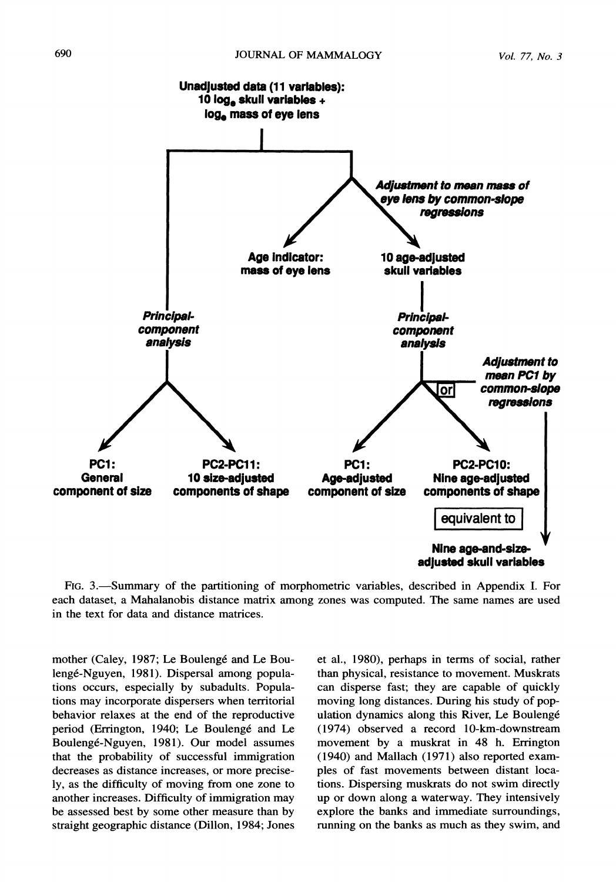

**FIG. 3.-Summary of the partitioning of morphometric variables, described in Appendix I. For each dataset, a Mahalanobis distance matrix among zones was computed. The same names are used in the text for data and distance matrices.** 

**mother (Caley, 1987; Le Bouleng6 and Le Bouleng6-Nguyen, 1981). Dispersal among populations occurs, especially by subadults. Populations may incorporate dispersers when territorial behavior relaxes at the end of the reproductive period (Errington, 1940; Le Bouleng6 and Le Bouleng6-Nguyen, 1981). Our model assumes that the probability of successful immigration decreases as distance increases, or more precisely, as the difficulty of moving from one zone to another increases. Difficulty of immigration may be assessed best by some other measure than by straight geographic distance (Dillon, 1984; Jones**  **et al., 1980), perhaps in terms of social, rather than physical, resistance to movement. Muskrats can disperse fast; they are capable of quickly moving long distances. During his study of population dynamics along this River, Le Bouleng6 (1974) observed a record 10-km-downstream movement by a muskrat in 48 h. Errington (1940) and Mallach (1971) also reported examples of fast movements between distant locations. Dispersing muskrats do not swim directly up or down along a waterway. They intensively explore the banks and immediate surroundings, running on the banks as much as they swim, and**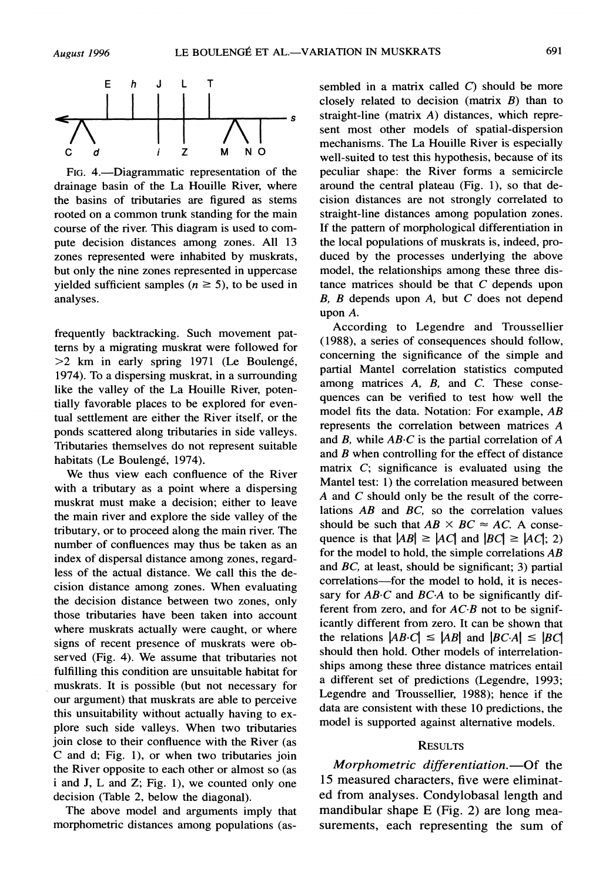

**FIG. 4.-Diagrammatic representation of the drainage basin of the La Houille River, where the basins of tributaries are figured as stems rooted on a common trunk standing for the main course of the river. This diagram is used to compute decision distances among zones. All 13 zones represented were inhabited by muskrats, but only the nine zones represented in uppercase**  vielded sufficient samples ( $n \geq 5$ ), to be used in **analyses.** 

**frequently backtracking. Such movement patterns by a migrating muskrat were followed for >2 km in early spring 1971 (Le Boulenge, 1974). To a dispersing muskrat, in a surrounding like the valley of the La Houille River, potentially favorable places to be explored for eventual settlement are either the River itself, or the ponds scattered along tributaries in side valleys. Tributaries themselves do not represent suitable habitats (Le Bouleng6, 1974).** 

**We thus view each confluence of the River with a tributary as a point where a dispersing muskrat must make a decision; either to leave the main river and explore the side valley of the tributary, or to proceed along the main river. The number of confluences may thus be taken as an index of dispersal distance among zones, regardless of the actual distance. We call this the decision distance among zones. When evaluating the decision distance between two zones, only those tributaries have been taken into account where muskrats actually were caught, or where signs of recent presence of muskrats were observed (Fig. 4). We assume that tributaries not fulfilling this condition are unsuitable habitat for muskrats. It is possible (but not necessary for our argument) that muskrats are able to perceive this unsuitability without actually having to explore such side valleys. When two tributaries join close to their confluence with the River (as C and d; Fig. 1), or when two tributaries join the River opposite to each other or almost so (as i and J, L and Z; Fig. 1), we counted only one decision (Table 2, below the diagonal).** 

**The above model and arguments imply that morphometric distances among populations (as-** **sembled in a matrix called C) should be more closely related to decision (matrix B) than to straight-line (matrix A) distances, which represent most other models of spatial-dispersion mechanisms. The La Houille River is especially well-suited to test this hypothesis, because of its peculiar shape: the River forms a semicircle around the central plateau (Fig. 1), so that decision distances are not strongly correlated to straight-line distances among population zones. If the pattern of morphological differentiation in the local populations of muskrats is, indeed, produced by the processes underlying the above model, the relationships among these three distance matrices should be that C depends upon B, B depends upon A, but C does not depend upon A.** 

**According to Legendre and Troussellier (1988), a series of consequences should follow, concerning the significance of the simple and partial Mantel correlation statistics computed among matrices A, B, and C. These consequences can be verified to test how well the model fits the data. Notation: For example, AB represents the correlation between matrices A and B, while AB-C is the partial correlation of A and B when controlling for the effect of distance matrix C; significance is evaluated using the Mantel test: 1) the correlation measured between A and C should only be the result of the correlations AB and BC, so the correlation values**  should be such that  $AB \times BC \approx AC$ . A conse**quence is that**  $|AB| \ge |AC|$  **and**  $|BC| \ge |AC|$ **; 2) for the model to hold, the simple correlations AB and BC, at least, should be significant; 3) partial correlations-for the model to hold, it is necessary for AB-C and BC-A to be significantly different from zero, and for AC-B not to be significantly different from zero. It can be shown that the relations**  $|AB \cdot C| \leq |AB|$  **and**  $|BC \cdot A| \leq |BC|$ **should then hold. Other models of interrelationships among these three distance matrices entail a different set of predictions (Legendre, 1993; Legendre and Troussellier, 1988); hence if the data are consistent with these 10 predictions, the model is supported against alternative models.** 

### **RESULTS**

**Morphometric differentiation.-Of the 15 measured characters, five were eliminated from analyses. Condylobasal length and mandibular shape E (Fig. 2) are long measurements, each representing the sum of**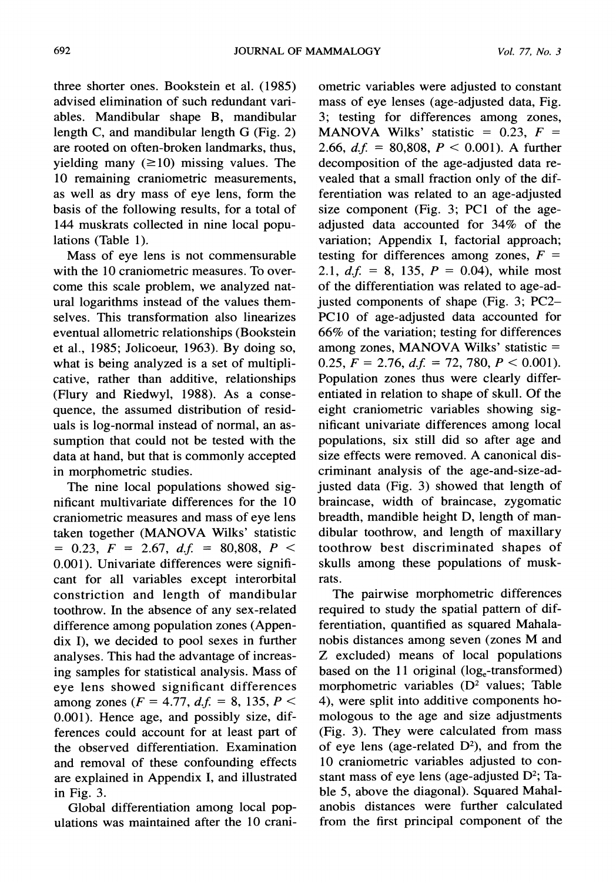**three shorter ones. Bookstein et al. (1985) advised elimination of such redundant variables. Mandibular shape B, mandibular length C, and mandibular length G (Fig. 2) are rooted on often-broken landmarks, thus,**   $yielding many (=10) missing values. The$ **10 remaining craniometric measurements, as well as dry mass of eye lens, form the basis of the following results, for a total of 144 muskrats collected in nine local populations (Table 1).** 

**Mass of eye lens is not commensurable with the 10 craniometric measures. To overcome this scale problem, we analyzed natural logarithms instead of the values themselves. This transformation also linearizes eventual allometric relationships (Bookstein et al., 1985; Jolicoeur, 1963). By doing so, what is being analyzed is a set of multiplicative, rather than additive, relationships (Flury and Riedwyl, 1988). As a consequence, the assumed distribution of residuals is log-normal instead of normal, an assumption that could not be tested with the data at hand, but that is commonly accepted in morphometric studies.** 

**The nine local populations showed significant multivariate differences for the 10 craniometric measures and mass of eye lens taken together (MANOVA Wilks' statistic**   $= 0.23, F = 2.67, df = 80,808, P <$ **0.001). Univariate differences were significant for all variables except interorbital constriction and length of mandibular toothrow. In the absence of any sex-related difference among population zones (Appendix I), we decided to pool sexes in further analyses. This had the advantage of increasing samples for statistical analysis. Mass of eye lens showed significant differences**  among zones ( $F = 4.77$ ,  $d.f. = 8$ , 135,  $P <$ **0.001). Hence age, and possibly size, differences could account for at least part of the observed differentiation. Examination and removal of these confounding effects are explained in Appendix I, and illustrated in Fig. 3.** 

**Global differentiation among local populations was maintained after the 10 crani-**

**ometric variables were adjusted to constant mass of eye lenses (age-adjusted data, Fig. 3; testing for differences among zones, MANOVA Wilks' statistic = 0.23,**  $F =$ **2.66, d.f. = 80,808, P < 0.001). A further decomposition of the age-adjusted data revealed that a small fraction only of the differentiation was related to an age-adjusted size component (Fig. 3; PC1 of the ageadjusted data accounted for 34% of the variation; Appendix I, factorial approach;**  testing for differences among zones,  $F =$ **2.1, d.f. = 8, 135, P = 0.04), while most of the differentiation was related to age-adjusted components of shape (Fig. 3; PC2- PC10** of age-adjusted data accounted for **66% of the variation; testing for differences among zones, MANOVA Wilks' statistic =**  0.25,  $F = 2.76$ ,  $d.f. = 72$ , 780,  $P < 0.001$ ). **Population zones thus were clearly differentiated in relation to shape of skull. Of the eight craniometric variables showing significant univariate differences among local populations, six still did so after age and size effects were removed. A canonical discriminant analysis of the age-and-size-adjusted data (Fig. 3) showed that length of braincase, width of braincase, zygomatic breadth, mandible height D, length of mandibular toothrow, and length of maxillary toothrow best discriminated shapes of skulls among these populations of muskrats.** 

**The pairwise morphometric differences required to study the spatial pattern of differentiation, quantified as squared Mahalanobis distances among seven (zones M and Z excluded) means of local populations**  based on the 11 original (log<sub>e-transformed)</sub> **morphometric variables (D2 values; Table 4), were split into additive components homologous to the age and size adjustments (Fig. 3). They were calculated from mass of eye lens (age-related D2), and from the 10 craniometric variables adjusted to constant mass of eye lens (age-adjusted D2; Table 5, above the diagonal). Squared Mahalanobis distances were further calculated from the first principal component of the**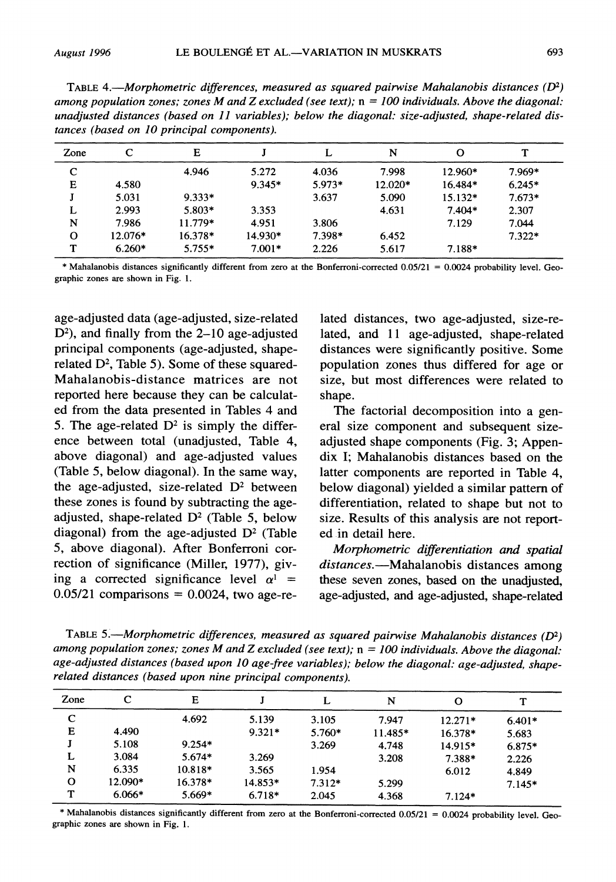| Zone        |          | Е        |          | L        | N         | о         | т        |
|-------------|----------|----------|----------|----------|-----------|-----------|----------|
| $\mathbf C$ |          | 4.946    | 5.272    | 4.036    | 7.998     | 12.960*   | 7.969*   |
| Е           | 4.580    |          | $9.345*$ | $5.973*$ | $12.020*$ | $16.484*$ | $6.245*$ |
|             | 5.031    | $9.333*$ |          | 3.637    | 5.090     | $15.132*$ | $7.673*$ |
| L           | 2.993    | $5.803*$ | 3.353    |          | 4.631     | $7.404*$  | 2.307    |
| N           | 7.986    | 11.779*  | 4.951    | 3.806    |           | 7.129     | 7.044    |
| Ο           | 12.076*  | 16.378*  | 14.930*  | 7.398*   | 6.452     |           | $7.322*$ |
| т           | $6.260*$ | $5.755*$ | 7.001*   | 2.226    | 5.617     | $7.188*$  |          |

**\* Mahalanobis distances significantly different from zero at the Bonferroni-corrected 0.05/21 = 0.0024 probability level. Geographic zones are shown in Fig. 1.** 

**age-adjusted data (age-adjusted, size-related D2), and finally from the 2-10 age-adjusted principal components (age-adjusted, shaperelated D2, Table 5). Some of these squared-Mahalanobis-distance matrices are not reported here because they can be calculated from the data presented in Tables 4 and 5. The age-related D2 is simply the difference between total (unadjusted, Table 4, above diagonal) and age-adjusted values (Table 5, below diagonal). In the same way, the age-adjusted, size-related D2 between these zones is found by subtracting the ageadjusted, shape-related D2 (Table 5, below diagonal) from the age-adjusted D2 (Table 5, above diagonal). After Bonferroni correction of significance (Miller, 1977), giv**ing a corrected significance level  $\alpha^1$  = **0.05/21 comparisons = 0.0024, two age-re-** **lated distances, two age-adjusted, size-related, and 11 age-adjusted, shape-related distances were significantly positive. Some population zones thus differed for age or size, but most differences were related to shape.** 

**The factorial decomposition into a general size component and subsequent sizeadjusted shape components (Fig. 3; Appendix I; Mahalanobis distances based on the latter components are reported in Table 4, below diagonal) yielded a similar pattern of differentiation, related to shape but not to size. Results of this analysis are not reported in detail here.** 

**Morphometric differentiation and spatial distances.-Mahalanobis distances among these seven zones, based on the unadjusted, age-adjusted, and age-adjusted, shape-related** 

TABLE 5.—Morphometric differences, measured as squared pairwise Mahalanobis distances (D<sup>2</sup>) **among population zones; zones M and Z excluded (see text); n = 100 individuals. Above the diagonal: age-adjusted distances (based upon 10 age-free variables); below the diagonal: age-adjusted, shaperelated distances (based upon nine principal components).** 

| Zone     | C        | Е        |          | L        | N       | О         | Т        |
|----------|----------|----------|----------|----------|---------|-----------|----------|
| C        |          | 4.692    | 5.139    | 3.105    | 7.947   | $12.271*$ | $6.401*$ |
| E        | 4.490    |          | $9.321*$ | 5.760*   | 11.485* | 16.378*   | 5.683    |
|          | 5.108    | $9.254*$ |          | 3.269    | 4.748   | 14.915*   | $6.875*$ |
| L        | 3.084    | $5.674*$ | 3.269    |          | 3.208   | 7.388*    | 2.226    |
| N        | 6.335    | 10.818*  | 3.565    | 1.954    |         | 6.012     | 4.849    |
| $\Omega$ | 12.090*  | 16.378*  | 14.853*  | $7.312*$ | 5.299   |           | $7.145*$ |
| т        | $6.066*$ | $5.669*$ | $6.718*$ | 2.045    | 4.368   | $7.124*$  |          |

**\* Mahalanobis distances significantly different from zero at the Bonferroni-corrected 0.05/21 = 0.0024 probability level. Geographic zones are shown in Fig. 1.**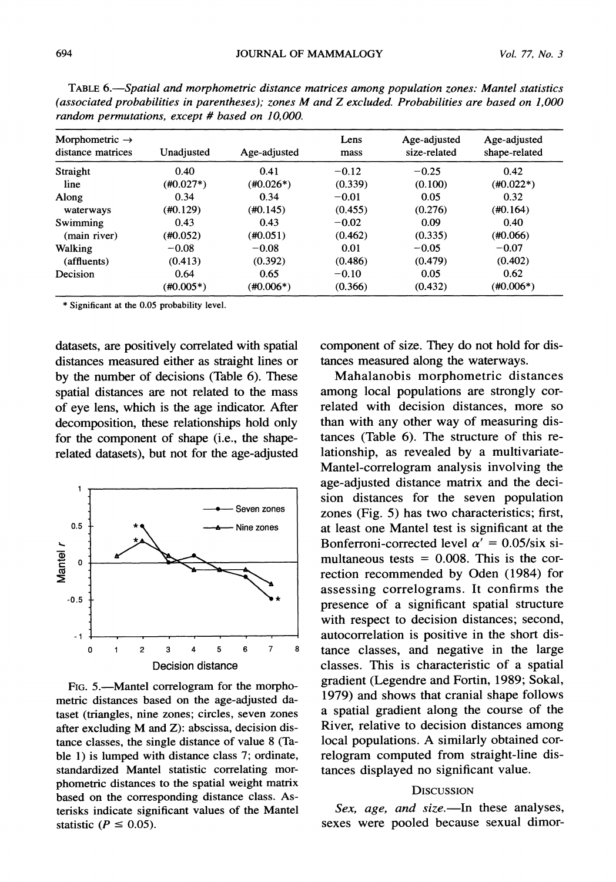**Morphometric → Lens Age-adjusted Age-adjusted Age-adjusted Age-adjusted is a mass Age-adjusted is a mass and the ending example. The Mage-adjusted is the Mage-adjusted is a mass and the mass and the mass and the mass and** distance matrices Unadjusted Age-adjusted mass **Straight** 0.40 0.41  $-0.12$   $-0.25$  0.42 **line** (#0.027\*) (#0.026\*) (0.339) (0.100) (#0.022\*) Along 0.34 0.34 0.01 0.05 0.32 **waterways** (#0.129) (#0.145) (0.455) (0.276) (#0.164) **Swimming 0.43 0.43 -0.02 0.09 0.40 (main river) (#0.052) (#0.051) (0.462) (0.335) (#0.066) Walking**  $-0.08$   $-0.08$   $-0.03$   $-0.05$   $-0.05$ **(affluents) (0.413) (0.392) (0.486) (0.479) (0.402) Decision** 0.64 0.65 -0.10 0.05 0.62 **(#0.005\*) (#0.006\*) (0.366) (0.432) (#0.006\*)** 

TABLE 6.-Spatial and morphometric distance matrices among population zones: Mantel statistics **(associated probabilities in parentheses); zones M and Z excluded. Probabilities are based on 1,000 random permutations, except # based on 10,000.** 

**\* Significant at the 0.05 probability level.** 

**datasets, are positively correlated with spatial distances measured either as straight lines or by the number of decisions (Table 6). These spatial distances are not related to the mass of eye lens, which is the age indicator. After decomposition, these relationships hold only for the component of shape (i.e., the shaperelated datasets), but not for the age-adjusted** 



FIG. 5.—Mantel correlogram for the morpho**metric distances based on the age-adjusted dataset (triangles, nine zones; circles, seven zones after excluding M and Z): abscissa, decision distance classes, the single distance of value 8 (Table 1) is lumped with distance class 7; ordinate, standardized Mantel statistic correlating morphometric distances to the spatial weight matrix based on the corresponding distance class. Asterisks indicate significant values of the Mantel**  statistic ( $P \leq 0.05$ ).

**component of size. They do not hold for distances measured along the waterways.** 

**Mahalanobis morphometric distances among local populations are strongly correlated with decision distances, more so than with any other way of measuring distances (Table 6). The structure of this relationship, as revealed by a multivariate-Mantel-correlogram analysis involving the age-adjusted distance matrix and the decision distances for the seven population zones (Fig. 5) has two characteristics; first, at least one Mantel test is significant at the**  Bonferroni-corrected level  $\alpha' = 0.05/\text{six}$  si**multaneous tests = 0.008. This is the correction recommended by Oden (1984) for assessing correlograms. It confirms the presence of a significant spatial structure with respect to decision distances; second, autocorrelation is positive in the short distance classes, and negative in the large classes. This is characteristic of a spatial gradient (Legendre and Fortin, 1989; Sokal, 1979) and shows that cranial shape follows a spatial gradient along the course of the River, relative to decision distances among local populations. A similarly obtained correlogram computed from straight-line distances displayed no significant value.** 

### **DIscussIoN**

Sex, age, and size.—In these analyses, **sexes were pooled because sexual dimor-**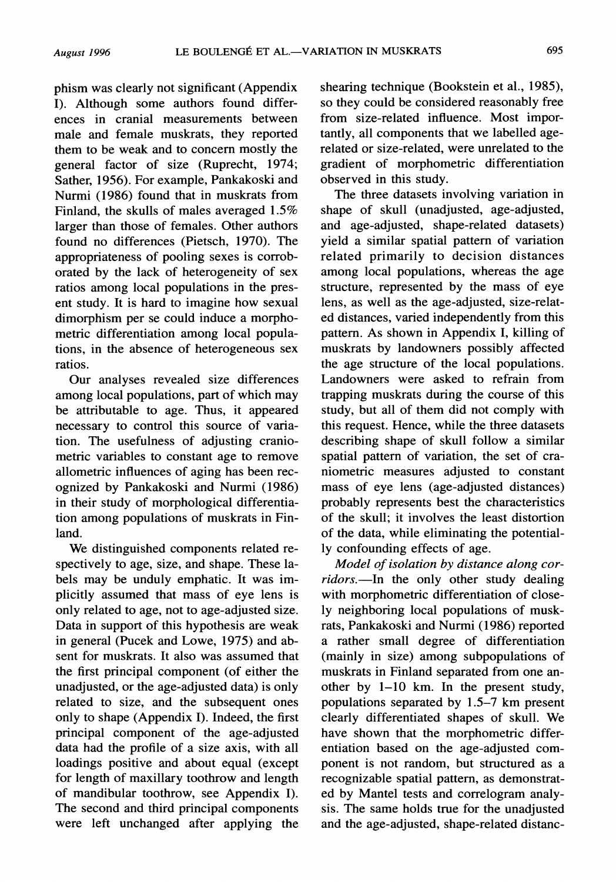**phism was clearly not significant (Appendix I). Although some authors found differences in cranial measurements between male and female muskrats, they reported them to be weak and to concern mostly the general factor of size (Ruprecht, 1974; Sather, 1956). For example, Pankakoski and Nurmi (1986) found that in muskrats from Finland, the skulls of males averaged 1.5% larger than those of females. Other authors found no differences (Pietsch, 1970). The appropriateness of pooling sexes is corroborated by the lack of heterogeneity of sex ratios among local populations in the present study. It is hard to imagine how sexual dimorphism per se could induce a morphometric differentiation among local populations, in the absence of heterogeneous sex ratios.** 

**Our analyses revealed size differences among local populations, part of which may be attributable to age. Thus, it appeared necessary to control this source of variation. The usefulness of adjusting craniometric variables to constant age to remove allometric influences of aging has been recognized by Pankakoski and Nurmi (1986) in their study of morphological differentiation among populations of muskrats in Finland.** 

**We distinguished components related respectively to age, size, and shape. These labels may be unduly emphatic. It was implicitly assumed that mass of eye lens is only related to age, not to age-adjusted size. Data in support of this hypothesis are weak in general (Pucek and Lowe, 1975) and absent for muskrats. It also was assumed that the first principal component (of either the unadjusted, or the age-adjusted data) is only related to size, and the subsequent ones only to shape (Appendix I). Indeed, the first principal component of the age-adjusted data had the profile of a size axis, with all loadings positive and about equal (except for length of maxillary toothrow and length of mandibular toothrow, see Appendix I). The second and third principal components were left unchanged after applying the**  **shearing technique (Bookstein et al., 1985), so they could be considered reasonably free from size-related influence. Most importantly, all components that we labelled agerelated or size-related, were unrelated to the gradient of morphometric differentiation observed in this study.** 

**The three datasets involving variation in shape of skull (unadjusted, age-adjusted, and age-adjusted, shape-related datasets) yield a similar spatial pattern of variation related primarily to decision distances among local populations, whereas the age structure, represented by the mass of eye lens, as well as the age-adjusted, size-related distances, varied independently from this pattern. As shown in Appendix I, killing of muskrats by landowners possibly affected the age structure of the local populations. Landowners were asked to refrain from trapping muskrats during the course of this study, but all of them did not comply with this request. Hence, while the three datasets describing shape of skull follow a similar spatial pattern of variation, the set of craniometric measures adjusted to constant mass of eye lens (age-adjusted distances) probably represents best the characteristics of the skull; it involves the least distortion of the data, while eliminating the potentially confounding effects of age.** 

**Model of isolation by distance along corridors.-In the only other study dealing with morphometric differentiation of closely neighboring local populations of muskrats, Pankakoski and Nurmi (1986) reported a rather small degree of differentiation (mainly in size) among subpopulations of muskrats in Finland separated from one another by 1-10 km. In the present study, populations separated by 1.5-7 km present clearly differentiated shapes of skull. We have shown that the morphometric differentiation based on the age-adjusted component is not random, but structured as a recognizable spatial pattern, as demonstrated by Mantel tests and correlogram analysis. The same holds true for the unadjusted and the age-adjusted, shape-related distanc-**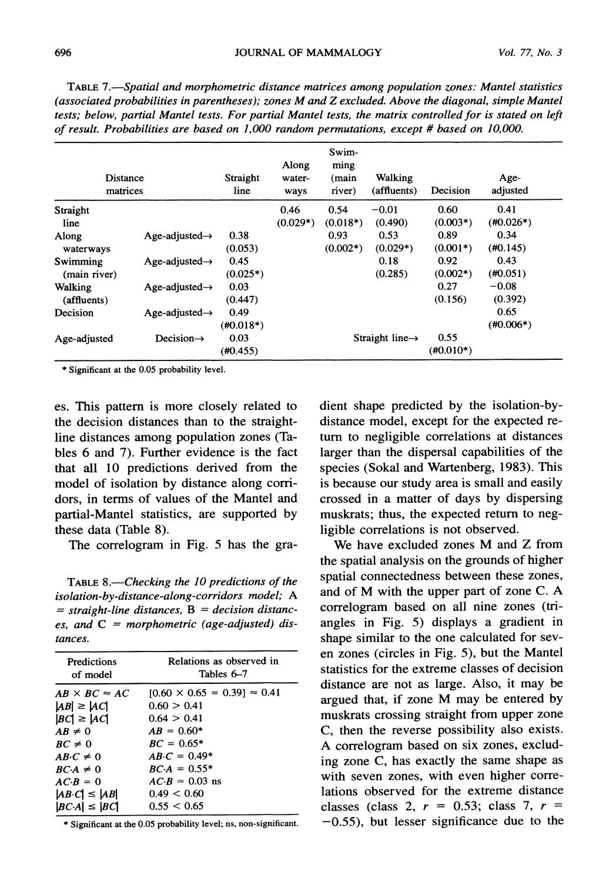| Distance<br>matrices     |                            | Straight<br>line    | Along<br>water-<br>ways | Swim-<br>ming<br>(main<br>river) | Walking<br>(affluents)      | Decision            | Age-<br>adjusted    |
|--------------------------|----------------------------|---------------------|-------------------------|----------------------------------|-----------------------------|---------------------|---------------------|
| Straight                 |                            |                     | 0.46                    | 0.54                             | $-0.01$                     | 0.60                | 0.41                |
| line<br>Along            | Age-adjusted $\rightarrow$ | 0.38                | $(0.029*)$              | $(0.018*)$<br>0.93               | (0.490)<br>0.53             | $(0.003*)$<br>0.89  | $(H0.026*)$<br>0.34 |
| waterways                |                            | (0.053)             |                         | $(0.002*)$                       | $(0.029*)$                  | $(0.001*)$          | (H0.145)            |
| Swimming<br>(main river) | Age-adjusted $\rightarrow$ | 0.45<br>$(0.025*)$  |                         |                                  | 0.18<br>(0.285)             | 0.92<br>$(0.002*)$  | 0.43<br>(H0.051)    |
| Walking<br>(affluents)   | Age-adjusted $\rightarrow$ | 0.03<br>(0.447)     |                         |                                  |                             | 0.27<br>(0.156)     | $-0.08$<br>(0.392)  |
| Decision                 | Age-adjusted $\rightarrow$ | 0.49<br>$(H0.018*)$ |                         |                                  |                             |                     | 0.65<br>$(H0.006*)$ |
| Age-adjusted             | Decision $\rightarrow$     | 0.03<br>(H0.455)    |                         |                                  | Straight line $\rightarrow$ | 0.55<br>$(H0.010*)$ |                     |

**TABLE 7.-Spatial and morphometric distance matrices among population zones: Mantel statistics (associated probabilities in parentheses); zones M and Z excluded. Above the diagonal, simple Mantel tests; below, partial Mantel tests. For partial Mantel tests, the matrix controlled for is stated on left of result. Probabilities are based on 1,000 random permutations, except # based on 10,000.** 

**\* Significant at the 0.05 probability level.** 

**es. This pattern is more closely related to the decision distances than to the straightline distances among population zones (Tables 6 and 7). Further evidence is the fact that all 10 predictions derived from the model of isolation by distance along corridors, in terms of values of the Mantel and partial-Mantel statistics, are supported by these data (Table 8).** 

**The correlogram in Fig. 5 has the gra-**

TABLE 8.—Checking the 10 predictions of the **isolation-by-distance-along-corridors model; A = straight-line distances, B = decision distances, and C = morphometric (age-adjusted) distances.** 

| <b>Predictions</b><br>of model                                    | Relations as observed in<br>Tables 6–7   |  |  |  |
|-------------------------------------------------------------------|------------------------------------------|--|--|--|
| $AR \times BC \approx AC$                                         | $[0.60 \times 0.65 = 0.39] \approx 0.41$ |  |  |  |
| $ AB  \geq  AC $                                                  | 0.60 > 0.41                              |  |  |  |
| $ BC  \geq  AC $                                                  | 0.64 > 0.41                              |  |  |  |
| $AB \neq 0$                                                       | $AB = 0.60*$                             |  |  |  |
| $BC \neq 0$                                                       | $BC = 0.65*$                             |  |  |  |
| $AB \cdot C \neq 0$                                               | $AB \cdot C = 0.49*$                     |  |  |  |
| $BCA \neq 0$                                                      | $BC \cdot A = 0.55^*$                    |  |  |  |
| $AC \cdot B = 0$                                                  | $AC \cdot B = 0.03$ ns                   |  |  |  |
| $ AB \cdot C  \leq  AB $                                          | 0.49 < 0.60                              |  |  |  |
| $ BC \cdot A  \leq  BC $                                          | 0.55 < 0.65                              |  |  |  |
| * Significant at the 0.05 probability level; ns, non-significant. |                                          |  |  |  |

**dient shape predicted by the isolation-bydistance model, except for the expected return to negligible correlations at distances larger than the dispersal capabilities of the species (Sokal and Wartenberg, 1983). This is because our study area is small and easily crossed in a matter of days by dispersing muskrats; thus, the expected return to negligible correlations is not observed.** 

**We have excluded zones M and Z from the spatial analysis on the grounds of higher spatial connectedness between these zones, and of M with the upper part of zone C. A correlogram based on all nine zones (triangles in Fig. 5) displays a gradient in shape similar to the one calculated for seven zones (circles in Fig. 5), but the Mantel statistics for the extreme classes of decision distance are not as large. Also, it may be argued that, if zone M may be entered by muskrats crossing straight from upper zone C, then the reverse possibility also exists. A correlogram based on six zones, excluding zone C, has exactly the same shape as with seven zones, with even higher correlations observed for the extreme distance**  classes (class 2,  $r = 0.53$ ; class 7,  $r =$ **-0.55), but lesser significance due to the**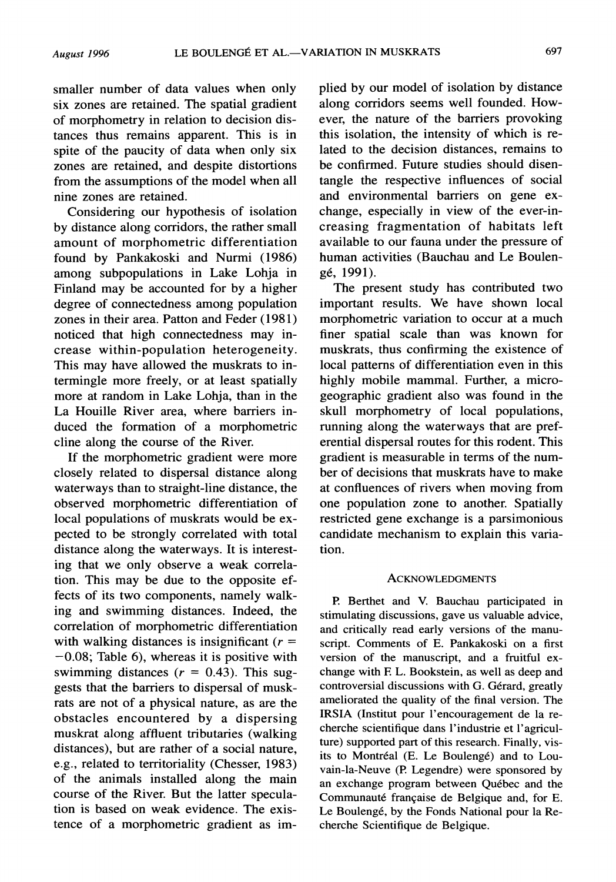**smaller number of data values when only six zones are retained. The spatial gradient of morphometry in relation to decision distances thus remains apparent. This is in spite of the paucity of data when only six zones are retained, and despite distortions from the assumptions of the model when all nine zones are retained.** 

**Considering our hypothesis of isolation by distance along corridors, the rather small amount of morphometric differentiation found by Pankakoski and Nurmi (1986) among subpopulations in Lake Lohja in Finland may be accounted for by a higher degree of connectedness among population zones in their area. Patton and Feder (1981) noticed that high connectedness may increase within-population heterogeneity. This may have allowed the muskrats to intermingle more freely, or at least spatially more at random in Lake Lohja, than in the La Houille River area, where barriers induced the formation of a morphometric cline along the course of the River.** 

**If the morphometric gradient were more closely related to dispersal distance along waterways than to straight-line distance, the observed morphometric differentiation of local populations of muskrats would be expected to be strongly correlated with total distance along the waterways. It is interesting that we only observe a weak correlation. This may be due to the opposite effects of its two components, namely walking and swimming distances. Indeed, the correlation of morphometric differentiation with walking distances is insignificant (r = -0.08; Table 6), whereas it is positive with**  swimming distances  $(r = 0.43)$ . This sug**gests that the barriers to dispersal of muskrats are not of a physical nature, as are the obstacles encountered by a dispersing muskrat along affluent tributaries (walking distances), but are rather of a social nature, e.g., related to territoriality (Chesser, 1983) of the animals installed along the main course of the River. But the latter speculation is based on weak evidence. The existence of a morphometric gradient as im-** **plied by our model of isolation by distance along corridors seems well founded. However, the nature of the barriers provoking this isolation, the intensity of which is related to the decision distances, remains to be confirmed. Future studies should disentangle the respective influences of social and environmental barriers on gene exchange, especially in view of the ever-increasing fragmentation of habitats left available to our fauna under the pressure of human activities (Bauchau and Le Bouleng6, 1991).** 

**The present study has contributed two important results. We have shown local morphometric variation to occur at a much finer spatial scale than was known for muskrats, thus confirming the existence of local patterns of differentiation even in this highly mobile mammal. Further, a microgeographic gradient also was found in the skull morphometry of local populations, running along the waterways that are preferential dispersal routes for this rodent. This gradient is measurable in terms of the number of decisions that muskrats have to make at confluences of rivers when moving from one population zone to another. Spatially restricted gene exchange is a parsimonious candidate mechanism to explain this variation.** 

### **ACKNOWLEDGMENTS**

**P. Berthet and V. Bauchau participated in stimulating discussions, gave us valuable advice, and critically read early versions of the manuscript. Comments of E. Pankakoski on a first version of the manuscript, and a fruitful exchange with E L. Bookstein, as well as deep and controversial discussions with G. Gerard, greatly ameliorated the quality of the final version. The IRSIA (Institut pour l'encouragement de la recherche scientifique dans l'industrie et l'agriculture) supported part of this research. Finally, vis**its to Montréal (E. Le Boulengé) and to Lou**vain-la-Neuve (P. Legendre) were sponsored by**  an exchange program between Québec and the **Communaut6 frangaise de Belgique and, for E. Le Bouleng6, by the Fonds National pour la Recherche Scientifique de Belgique.**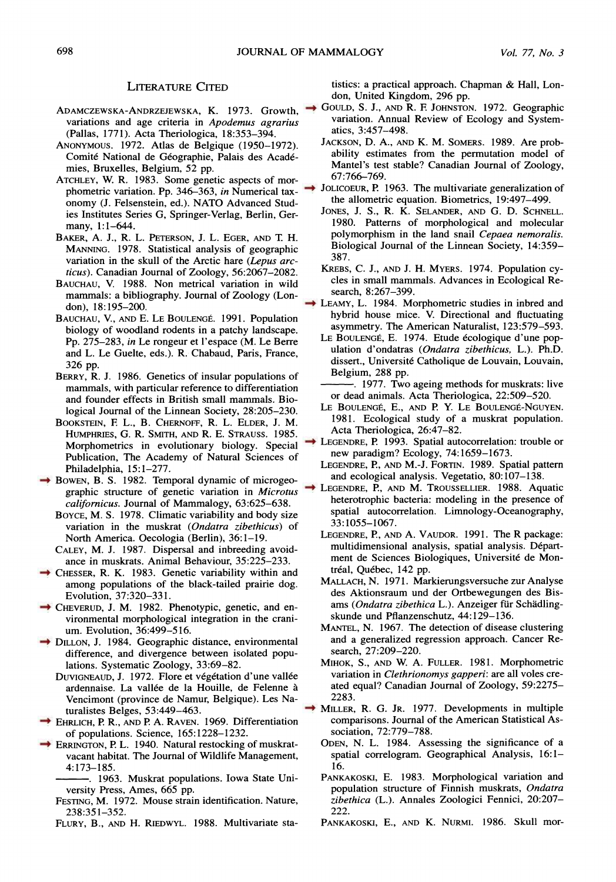### **LITERATURE CITED**

- **ADAMCZEWSKA-ANDRZEJEWSKA, K. 1973. Growth, variations and age criteria in Apodemus agrarius (Pallas, 1771). Acta Theriologica, 18:353-394.**
- **ANONYMOUS. 1972. Atlas de Belgique (1950-1972). Comit6 National de G6ographie, Palais des Acad6 mies, Bruxelles, Belgium, 52 pp.**
- **ATCHLEY, W. R. 1983. Some genetic aspects of morphometric variation. Pp. 346-363, in Numerical taxonomy (J. Felsenstein, ed.). NATO Advanced Studies Institutes Series G, Springer-Verlag, Berlin, Germany, 1:1-644.**
- **BAKER, A. J., R. L. PETERSON, J. L. EGER, AND T. H. MANNING. 1978. Statistical analysis of geographic variation in the skull of the Arctic hare (Lepus arcticus). Canadian Journal of Zoology, 56:2067-2082.**
- **BAUCHAU, V. 1988. Non metrical variation in wild mammals: a bibliography. Journal of Zoology (London), 18:195-200.**
- **BAUCHAU, V., AND E. LE BOULENGE. 1991. Population biology of woodland rodents in a patchy landscape. Pp. 275-283, in Le rongeur et l'espace (M. Le Berre and L. Le Guelte, eds.). R. Chabaud, Paris, France, 326 pp.**
- **BERRY, R. J. 1986. Genetics of insular populations of mammals, with particular reference to differentiation and founder effects in British small mammals. Biological Journal of the Linnean Society, 28:205-230.**
- **BOOKSTEIN, E L., B. CHERNOFF, R. L. ELDER, J. M. HUMPHRIES, G. R. SMITH, AND R. E. STRAUSS. 1985. Morphometrics in evolutionary biology. Special Publication, The Academy of Natural Sciences of Philadelphia, 15:1-277.**
- **BOWEN, B. S. 1982. Temporal dynamic of microgeographic structure of genetic variation in Microtus californicus. Journal of Mammalogy, 63:625-638.** 
	- **BOYCE, M. S. 1978. Climatic variability and body size variation in the muskrat (Ondatra zibethicus) of North America. Oecologia (Berlin), 36:1-19.**
	- **CALEY, M. J. 1987. Dispersal and inbreeding avoidance in muskrats. Animal Behaviour, 35:225-233.**
- **CHESSER, R. K. 1983. Genetic variability within and among populations of the black-tailed prairie dog. Evolution, 37:320-331.**
- **CHEVERUD, J. M. 1982. Phenotypic, genetic, and environmental morphological integration in the cranium. Evolution, 36:499-516.**
- **→ DILLON, J. 1984. Geographic distance, environmental difference, and divergence between isolated populations. Systematic Zoology, 33:69-82.** 
	- DUVIGNEAUD, J. 1972. Flore et végétation d'une vallée ardennaise. La vallée de la Houille, de Felenne à **Vencimont (province de Namur, Belgique). Les Naturalistes Belges, 53:449-463.**
- **EHRLICH, P. R., AND P A. RAVEN. 1969. Differentiation of populations. Science, 165:1228-1232.**
- **ERRINGTON, P. L. 1940. Natural restocking of muskratvacant habitat. The Journal of Wildlife Management, 4:173-185.** 
	- **1963. Muskrat populations. Iowa State University Press, Ames, 665 pp.**
	- **FESTING, M. 1972. Mouse strain identification. Nature, 238:351-352.**
	- **FLURY, B., AND H. RIEDWYL. 1988. Multivariate sta-**

**tistics: a practical approach. Chapman & Hall, London, United Kingdom, 296 pp.** 

- **GOULD, S. J., AND R. E JOHNSTON. 1972. Geographic variation. Annual Review of Ecology and Systematics, 3:457-498.** 
	- **JACKSON, D. A., AND K. M. SOMERS. 1989. Are probability estimates from the permutation model of Mantel's test stable? Canadian Journal of Zoology, 67:766-769.**
- **JOLICOEUR, P. 1963. The multivariate generalization of the allometric equation. Biometrics, 19:497-499.** 
	- **JONES, J. S., R. K. SELANDER, AND G. D. SCHNELL. 1980. Patterns of morphological and molecular polymorphism in the land snail Cepaea nemoralis. Biological Journal of the Linnean Society, 14:359- 387.**
	- **KREBS, C. J., AND J. H. MYERS. 1974. Population cycles in small mammals. Advances in Ecological Research, 8:267-399.**
	- **LEAMY, L. 1984. Morphometric studies in inbred and hybrid house mice. V. Directional and fluctuating asymmetry. The American Naturalist, 123:579-593.**
	- **LE BOULENGt, E. 1974. Etude 6cologique d'une population d'ondatras (Ondatra zibethicus, L.). Ph.D. dissert., Universit6 Catholique de Louvain, Louvain, Belgium, 288 pp.**
	- **.1977. Two ageing methods for muskrats: live or dead animals. Acta Theriologica, 22:509-520.**
	- LE BOULENGÉ, E., AND P. Y. LE BOULENGÉ-NGUYEN. **1981. Ecological study of a muskrat population. Acta Theriologica, 26:47-82.**
- **LEGENDRE, P. 1993. Spatial autocorrelation: trouble or new paradigm? Ecology, 74:1659-1673.** 
	- **LEGENDRE, P., AND M.-J. FORTIN. 1989. Spatial pattern and ecological analysis. Vegetatio, 80:107-138.**
	- **LEGENDRE, P., AND M. TROUSSELLIER. 1988. Aquatic heterotrophic bacteria: modeling in the presence of spatial autocorrelation. Limnology-Oceanography, 33:1055-1067.**
	- **LEGENDRE, P., AND A. VAUDOR. 1991. The R package:**  multidimensional analysis, spatial analysis. Départ**ment de Sciences Biologiques, Universite de Mon**tréal, Québec, 142 pp.
	- **MALLACH, N. 1971. Markierungsversuche zur Analyse des Aktionsraum und der Ortbewegungen des Bis**ams (Ondatra zibethica L.). Anzeiger für Schädling**skunde und Pflanzenschutz, 44:129-136.**
	- **MANTEL, N. 1967. The detection of disease clustering and a generalized regression approach. Cancer Research, 27:209-220.**
	- **MIHOK, S., AND W. A. FULLER. 1981. Morphometric variation in Clethrionomys gapperi: are all voles created equal? Canadian Journal of Zoology, 59:2275- 2283.**
- **MILLER, R. G. JR. 1977. Developments in multiple comparisons. Journal of the American Statistical Association, 72:779-788.** 
	- **ODEN, N. L. 1984. Assessing the significance of a spatial correlogram. Geographical Analysis, 16:1- 16.**
	- **PANKAKOSKI, E. 1983. Morphological variation and population structure of Finnish muskrats, Ondatra zibethica (L.). Annales Zoologici Fennici, 20:207- 222.**
	- PANKAKOSKI, E., AND K. NURMI. 1986. Skull mor-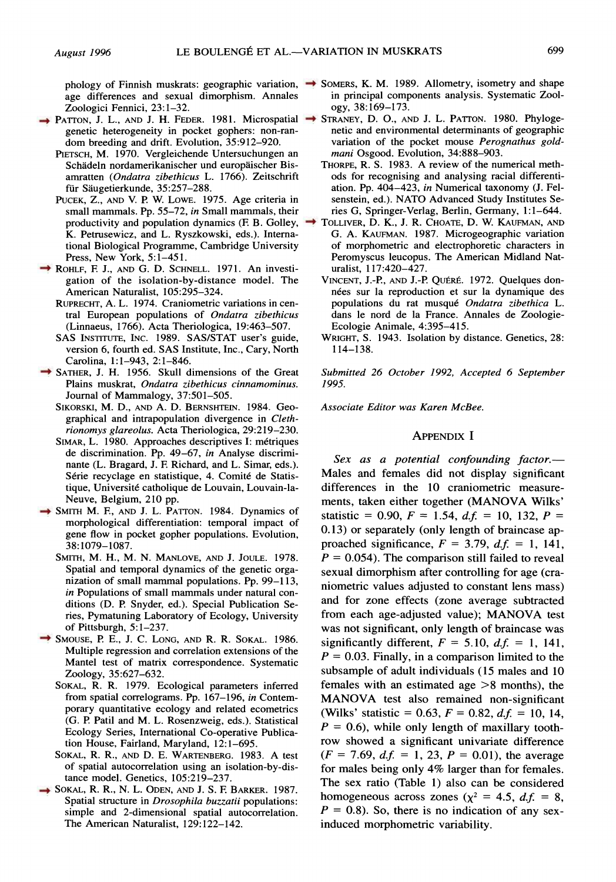**age differences and sexual dimorphism. Annales Zoologici Fennici, 23:1-32.** 

- **genetic heterogeneity in pocket gophers: non-random breeding and drift. Evolution, 35:912-920.** 
	- **PIETSCH, M. 1970. Vergleichende Untersuchungen an**  Schädeln nordamerikanischer und europäischer Bis**amratten (Ondatra zibethicus L. 1766). Zeitschrift ffir Saugetierkunde, 35:257-288.**
	- **PUCEK, Z., AND V. P W. LOWE. 1975. Age criteria in small mammals. Pp. 55-72, in Small mammals, their productivity and population dynamics (F B. Golley, K. Petrusewicz, and L. Ryszkowski, eds.). International Biological Programme, Cambridge University Press, New York, 5:1-451.**
- **ROHLF, E J., AND G. D. SCHNELL. 1971. An investigation of the isolation-by-distance model. The American Naturalist, 105:295-324.** 
	- **RUPRECHT, A. L. 1974. Craniometric variations in central European populations of Ondatra zibethicus (Linnaeus, 1766). Acta Theriologica, 19:463-507.**
	- **SAS INSTITUTE, INC. 1989. SAS/STAT user's guide, version 6, fourth ed. SAS Institute, Inc., Cary, North Carolina, 1:1-943, 2:1-846.**
- **SATHER, J. H. 1956. Skull dimensions of the Great Plains muskrat, Ondatra zibethicus cinnamominus. Journal of Mammalogy, 37:501-505.** 
	- **SIKORSKI, M. D., AND A. D. BERNSHTEIN. 1984. Geographical and intrapopulation divergence in Clethrionomys glareolus. Acta Theriologica, 29:219-230.**
	- SIMAR, L. 1980. Approaches descriptives I: métriques **de discrimination. Pp. 49-67, in Analyse discriminante (L. Bragard, J. F Richard, and L. Simar, eds.).**  Série recyclage en statistique, 4. Comité de Statistique, Université catholique de Louvain, Louvain-la-**Neuve, Belgium, 210 pp.**
- **SMITH M. F., AND J. L. PATTON. 1984. Dynamics of morphological differentiation: temporal impact of gene flow in pocket gopher populations. Evolution, 38:1079-1087.** 
	- **SMITH, M. H., M. N. MANLOVE, AND J. JOULE. 1978. Spatial and temporal dynamics of the genetic organization of small mammal populations. Pp. 99-113, in Populations of small mammals under natural con**ditions (D. P. Snyder, ed.). Special Publication Se**ries, Pymatuning Laboratory of Ecology, University of Pittsburgh, 5:1-237.**
- **SMOUSE, P. E., J. C. LONG, AND R. R. SOKAL. 1986. Multiple regression and correlation extensions of the Mantel test of matrix correspondence. Systematic Zoology, 35:627-632.** 
	- **SOKAL, R. R. 1979. Ecological parameters inferred from spatial correlograms. Pp. 167-196, in Contemporary quantitative ecology and related ecometrics (G. P. Patil and M. L. Rosenzweig, eds.). Statistical Ecology Series, International Co-operative Publication House, Fairland, Maryland, 12:1-695.**
	- **SOKAL, R. R., AND D. E. WARTENBERG. 1983. A test of spatial autocorrelation using an isolation-by-distance model. Genetics, 105:219-237.**
- **SOKAL, R. R., N. L. ODEN, AND J. S. E BARKER. 1987. Spatial structure in Drosophila buzzatii populations: simple and 2-dimensional spatial autocorrelation. The American Naturalist, 129:122-142.**
- phology of Finnish muskrats: geographic variation,  $\rightarrow$  SOMERS, K. M. 1989. Allometry, isometry and shape **in principal components analysis. Systematic Zoology, 38:169-173.**
- **PATTON, J. L., AND J. H. FEDER. 1981. Microspatial → STRANEY, D. O., AND J. L. PATTON. 1980. Phylogenetic and environmental determinants of geographic variation of the pocket mouse Perognathus goldmani Osgood. Evolution, 34:888-903.** 
	- **THORPE, R. S. 1983. A review of the numerical methods for recognising and analysing racial differentiation. Pp. 404-423, in Numerical taxonomy (J. Felsenstein, ed.). NATO Advanced Study Institutes Series G, Springer-Verlag, Berlin, Germany, 1:1-644.**
	- **TOLLIVER, D. K., J. R. CHOATE, D. W. KAUFMAN, AND G. A. KAUFMAN. 1987. Microgeographic variation of morphometric and electrophoretic characters in Peromyscus leucopus. The American Midland Naturalist, 117:420-427.** 
		- VINCENT, J.-P., AND J.-P. QUÉRÉ. 1972. Quelques don**n6es sur la reproduction et sur la dynamique des populations du rat musqu6 Ondatra zibethica L. dans le nord de la France. Annales de Zoologie-Ecologie Animale, 4:395-415.**
		- **WRIGHT, S. 1943. Isolation by distance. Genetics, 28: 114-138.**

**Submitted 26 October 1992, Accepted 6 September 1995.** 

**Associate Editor was Karen McBee.** 

#### **APPENDIX I**

Sex as a potential confounding factor.-**Males and females did not display significant differences in the 10 craniometric measurements, taken either together (MANOVA Wilks'**  statistic = 0.90,  $F = 1.54$ ,  $d.f. = 10$ , 132,  $P =$ **0.13) or separately (only length of braincase ap**proached significance,  $F = 3.79$ ,  $d.f. = 1, 141$ , **P = 0.054). The comparison still failed to reveal sexual dimorphism after controlling for age (craniometric values adjusted to constant lens mass) and for zone effects (zone average subtracted from each age-adjusted value); MANOVA test was not significant, only length of braincase was**  significantly different,  $F = 5.10$ ,  $df = 1$ , 141,  $P = 0.03$ . Finally, in a comparison limited to the **subsample of adult individuals (15 males and 10 females with an estimated age >8 months), the MANOVA test also remained non-significant (Wilks' statistic = 0.63,**  $F = 0.82$ **,**  $df = 10$ **, 14,**  $B = 0.63$ **, while only locate of monillary to the**  $P = 0.6$ ), while only length of maxillary tooth**row showed a significant univariate difference**   $(F = 7.69, d.f. = 1, 23, P = 0.01)$ , the average **for males being only 4% larger than for females. The sex ratio (Table 1) also can be considered**  homogeneous across zones ( $\chi^2$  = 4.5, *d.f.* = 8,  $P = 0.8$ ). So, there is no indication of any sex**induced morphometric variability.**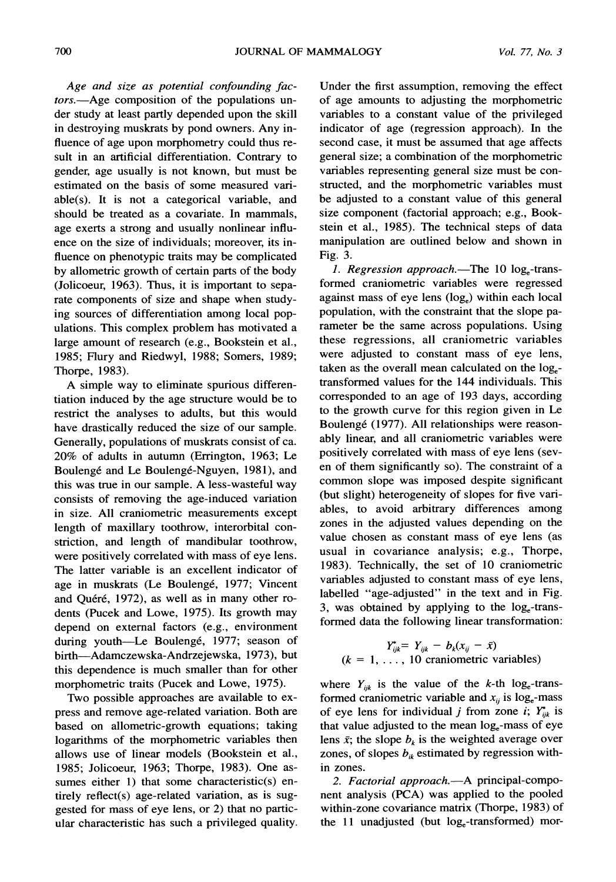**Age and size as potential confounding fac**tors.—Age composition of the populations un**der study at least partly depended upon the skill in destroying muskrats by pond owners. Any influence of age upon morphometry could thus result in an artificial differentiation. Contrary to gender, age usually is not known, but must be estimated on the basis of some measured variable(s). It is not a categorical variable, and should be treated as a covariate. In mammals, age exerts a strong and usually nonlinear influence on the size of individuals; moreover, its influence on phenotypic traits may be complicated by allometric growth of certain parts of the body (Jolicoeur, 1963). Thus, it is important to separate components of size and shape when studying sources of differentiation among local populations. This complex problem has motivated a large amount of research (e.g., Bookstein et al., 1985; Flury and Riedwyl, 1988; Somers, 1989; Thorpe, 1983).** 

**A simple way to eliminate spurious differentiation induced by the age structure would be to restrict the analyses to adults, but this would have drastically reduced the size of our sample. Generally, populations of muskrats consist of ca. 20% of adults in autumn (Errington, 1963; Le Bouleng6 and Le Bouleng&-Nguyen, 1981), and this was true in our sample. A less-wasteful way consists of removing the age-induced variation in size. All craniometric measurements except length of maxillary toothrow, interorbital constriction, and length of mandibular toothrow, were positively correlated with mass of eye lens. The latter variable is an excellent indicator of age in muskrats (Le Bouleng6, 1977; Vincent**  and Quéré, 1972), as well as in many other ro-<br>dants (Pugek and Lowe, 1975), Its growth may **dents (Pucek and Lowe, 1975). Its growth may depend on external factors (e.g., environment during youth-Le Bouleng6, 1977; season of birth-Adamczewska-Andrzejewska, 1973), but this dependence is much smaller than for other morphometric traits (Pucek and Lowe, 1975).** 

**Two possible approaches are available to express and remove age-related variation. Both are based on allometric-growth equations; taking logarithms of the morphometric variables then allows use of linear models (Bookstein et al., 1985; Jolicoeur, 1963; Thorpe, 1983). One as**sumes either 1) that some characteristic(s) en**tirely reflect(s) age-related variation, as is suggested for mass of eye lens, or 2) that no particular characteristic has such a privileged quality.**  **Under the first assumption, removing the effect of age amounts to adjusting the morphometric variables to a constant value of the privileged indicator of age (regression approach). In the second case, it must be assumed that age affects general size; a combination of the morphometric variables representing general size must be constructed, and the morphometric variables must be adjusted to a constant value of this general size component (factorial approach; e.g., Bookstein et al., 1985). The technical steps of data manipulation are outlined below and shown in Fig. 3.** 

1. Regression approach.—The 10 log<sub>e</sub>-trans**formed craniometric variables were regressed**  against mass of eye lens (log<sub>e</sub>) within each local **population, with the constraint that the slope parameter be the same across populations. Using these regressions, all craniometric variables were adjusted to constant mass of eye lens,**  taken as the overall mean calculated on the  $log_e$ **transformed values for the 144 individuals. This corresponded to an age of 193 days, according to the growth curve for this region given in Le Bouleng6 (1977). All relationships were reasonably linear, and all craniometric variables were positively correlated with mass of eye lens (seven of them significantly so). The constraint of a common slope was imposed despite significant (but slight) heterogeneity of slopes for five variables, to avoid arbitrary differences among zones in the adjusted values depending on the value chosen as constant mass of eye lens (as usual in covariance analysis; e.g., Thorpe, 1983). Technically, the set of 10 craniometric variables adjusted to constant mass of eye lens, labelled "age-adjusted" in the text and in Fig.**  3, was obtained by applying to the  $log_e$ -trans**formed data the following linear transformation:** 

$$
Y_{ijk}^* = Y_{ijk} - b_k(x_{ij} - \bar{x})
$$
  
(k = 1, ..., 10 craniometric variables)

where  $Y_{ijk}$  is the value of the k-th  $log_e$ -transformed craniometric variable and  $x_{ij}$  is  $\log_e$ -mass of eye lens for individual *j* from zone *i*;  $Y_{ijk}^*$  is that value adjusted to the mean log<sub>e</sub>-mass of eye lens  $\bar{x}$ ; the slope  $b_k$  is the weighted average over zones, of slopes  $b_{ik}$  is the weighted diverge over **in zones.** 

2. Factorial approach.- A principal-compo**nent analysis (PCA) was applied to the pooled within-zone covariance matrix (Thorpe, 1983) of the 11 unadjusted (but loge-transformed) mor-**